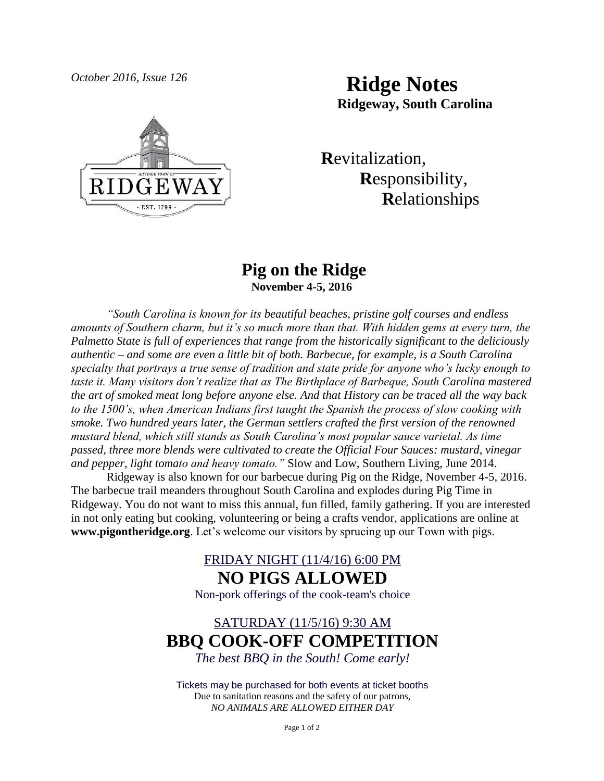*October 2016, Issue 126* **Ridge Notes Ridgeway, South Carolina**



 **R**evitalization,  **R**esponsibility,  **R**elationships

### **Pig on the Ridge November 4-5, 2016**

*"South Carolina is known for its beautiful beaches, pristine golf courses and endless amounts of Southern charm, but it's so much more than that. With hidden gems at every turn, the Palmetto State is full of experiences that range from the historically significant to the deliciously authentic – and some are even a little bit of both. Barbecue, for example, is a South Carolina specialty that portrays a true sense of tradition and state pride for anyone who's lucky enough to taste it. Many visitors don't realize that as The Birthplace of Barbeque, South Carolina mastered the art of smoked meat long before anyone else. And that History can be traced all the way back to the 1500's, when American Indians first taught the Spanish the process of slow cooking with smoke. Two hundred years later, the German settlers crafted the first version of the renowned mustard blend, which still stands as South Carolina's most popular sauce varietal. As time passed, three more blends were cultivated to create the Official Four Sauces: mustard, vinegar and pepper, light tomato and heavy tomato."* Slow and Low, Southern Living, June 2014.

Ridgeway is also known for our barbecue during Pig on the Ridge, November 4-5, 2016. The barbecue trail meanders throughout South Carolina and explodes during Pig Time in Ridgeway. You do not want to miss this annual, fun filled, family gathering. If you are interested in not only eating but cooking, volunteering or being a crafts vendor, applications are online at **www.pigontheridge.org**. Let's welcome our visitors by sprucing up our Town with pigs.

## FRIDAY NIGHT (11/4/16) 6:00 PM **NO PIGS ALLOWED**

Non-pork offerings of the cook-team's choice

# SATURDAY (11/5/16) 9:30 AM **BBQ COOK-OFF COMPETITION** *The best BBQ in the South! Come early!*

Tickets may be purchased for both events at ticket booths Due to sanitation reasons and the safety of our patrons, *NO ANIMALS ARE ALLOWED EITHER DAY*